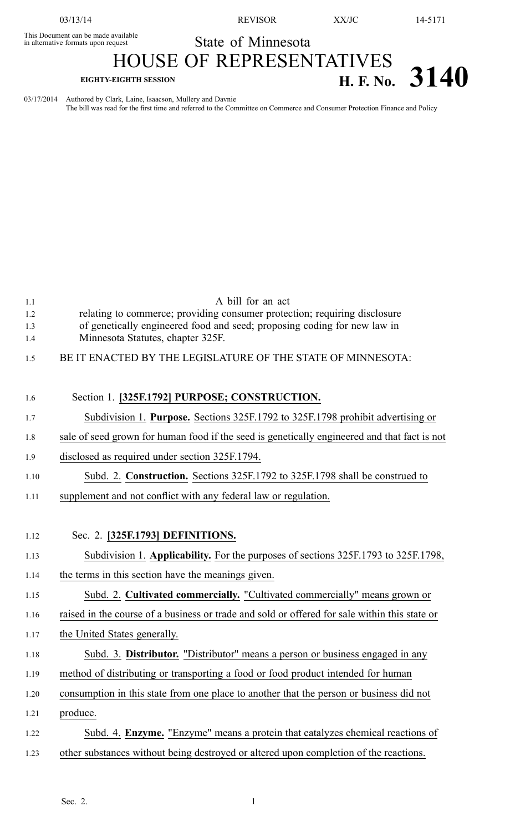03/13/14 REVISOR XX/JC 14-5171

This Document can be made available This Document can be made available<br>in alternative formats upon request State of Minnesota

## HOUSE OF REPRESENTATIVES **EIGHTY-EIGHTH SESSION H. F. No. 3140**

03/17/2014 Authored by Clark, Laine, Isaacson, Mullery and Davnie The bill was read for the first time and referred to the Committee on Commerce and Consumer Protection Finance and Policy

| 1.1  | A bill for an act                                                                             |
|------|-----------------------------------------------------------------------------------------------|
| 1.2  | relating to commerce; providing consumer protection; requiring disclosure                     |
| 1.3  | of genetically engineered food and seed; proposing coding for new law in                      |
| 1.4  | Minnesota Statutes, chapter 325F.                                                             |
| 1.5  | BE IT ENACTED BY THE LEGISLATURE OF THE STATE OF MINNESOTA:                                   |
|      |                                                                                               |
| 1.6  | Section 1. [325F.1792] PURPOSE; CONSTRUCTION.                                                 |
| 1.7  | Subdivision 1. Purpose. Sections 325F.1792 to 325F.1798 prohibit advertising or               |
| 1.8  | sale of seed grown for human food if the seed is genetically engineered and that fact is not  |
| 1.9  | disclosed as required under section 325F.1794.                                                |
| 1.10 | Subd. 2. Construction. Sections 325F.1792 to 325F.1798 shall be construed to                  |
| 1.11 | supplement and not conflict with any federal law or regulation.                               |
|      |                                                                                               |
|      |                                                                                               |
| 1.12 | Sec. 2. [325F.1793] DEFINITIONS.                                                              |
| 1.13 | Subdivision 1. Applicability. For the purposes of sections 325F.1793 to 325F.1798,            |
| 1.14 | the terms in this section have the meanings given.                                            |
| 1.15 | Subd. 2. Cultivated commercially. "Cultivated commercially" means grown or                    |
| 1.16 | raised in the course of a business or trade and sold or offered for sale within this state or |
| 1.17 | the United States generally.                                                                  |
| 1.18 | Subd. 3. Distributor. "Distributor" means a person or business engaged in any                 |
| 1.19 | method of distributing or transporting a food or food product intended for human              |
| 1.20 | consumption in this state from one place to another that the person or business did not       |
| 1.21 | produce.                                                                                      |
| 1.22 | Subd. 4. Enzyme. "Enzyme" means a protein that catalyzes chemical reactions of                |
| 1.23 | other substances without being destroyed or altered upon completion of the reactions.         |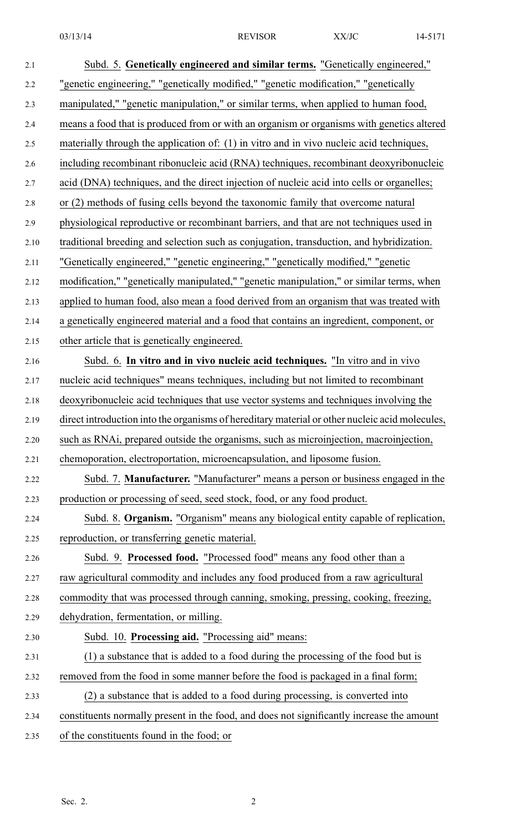| 2.1  | Subd. 5. Genetically engineered and similar terms. "Genetically engineered,"                   |
|------|------------------------------------------------------------------------------------------------|
| 2.2  | "genetic engineering," "genetically modified," "genetic modification," "genetically            |
| 2.3  | manipulated," "genetic manipulation," or similar terms, when applied to human food,            |
| 2.4  | means a food that is produced from or with an organism or organisms with genetics altered      |
| 2.5  | materially through the application of: (1) in vitro and in vivo nucleic acid techniques,       |
| 2.6  | including recombinant ribonucleic acid (RNA) techniques, recombinant deoxyribonucleic          |
| 2.7  | acid (DNA) techniques, and the direct injection of nucleic acid into cells or organelles;      |
| 2.8  | or (2) methods of fusing cells beyond the taxonomic family that overcome natural               |
|      | physiological reproductive or recombinant barriers, and that are not techniques used in        |
| 2.9  | traditional breeding and selection such as conjugation, transduction, and hybridization.       |
| 2.10 |                                                                                                |
| 2.11 | "Genetically engineered," "genetic engineering," "genetically modified," "genetic              |
| 2.12 | modification," "genetically manipulated," "genetic manipulation," or similar terms, when       |
| 2.13 | applied to human food, also mean a food derived from an organism that was treated with         |
| 2.14 | a genetically engineered material and a food that contains an ingredient, component, or        |
| 2.15 | other article that is genetically engineered.                                                  |
| 2.16 | Subd. 6. In vitro and in vivo nucleic acid techniques. "In vitro and in vivo                   |
| 2.17 | nucleic acid techniques" means techniques, including but not limited to recombinant            |
| 2.18 | deoxyribonucleic acid techniques that use vector systems and techniques involving the          |
| 2.19 | direct introduction into the organisms of hereditary material or other nucleic acid molecules, |
| 2.20 | such as RNAi, prepared outside the organisms, such as microinjection, macroinjection,          |
| 2.21 | chemoporation, electroportation, microencapsulation, and liposome fusion.                      |
| 2.22 | Subd. 7. Manufacturer. "Manufacturer" means a person or business engaged in the                |
| 2.23 | production or processing of seed, seed stock, food, or any food product.                       |
| 2.24 | Subd. 8. Organism. "Organism" means any biological entity capable of replication,              |
| 2.25 | reproduction, or transferring genetic material.                                                |
| 2.26 | Subd. 9. Processed food. "Processed food" means any food other than a                          |
| 2.27 | raw agricultural commodity and includes any food produced from a raw agricultural              |
| 2.28 | commodity that was processed through canning, smoking, pressing, cooking, freezing,            |
| 2.29 | dehydration, fermentation, or milling.                                                         |
| 2.30 | Subd. 10. Processing aid. "Processing aid" means:                                              |
| 2.31 | (1) a substance that is added to a food during the processing of the food but is               |
| 2.32 | removed from the food in some manner before the food is packaged in a final form;              |
| 2.33 | $(2)$ a substance that is added to a food during processing, is converted into                 |
| 2.34 | constituents normally present in the food, and does not significantly increase the amount      |
| 2.35 | of the constituents found in the food; or                                                      |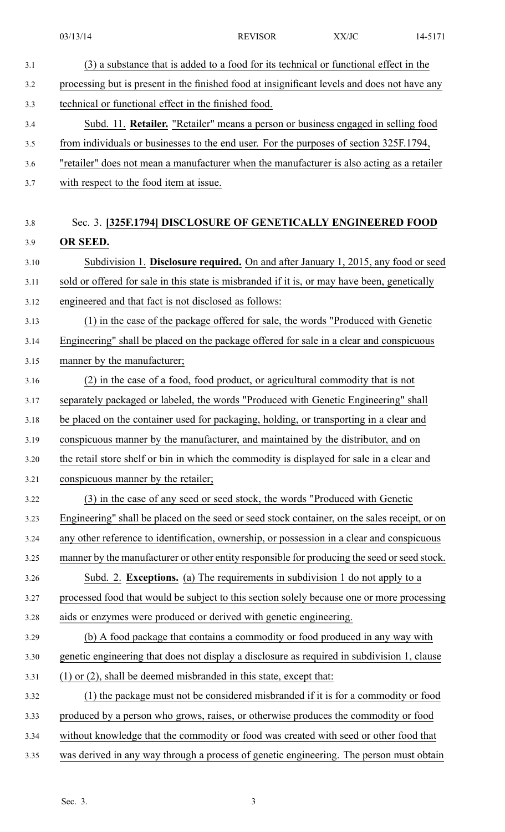03/13/14 REVISOR XX/JC 14-5171 3.1 (3) <sup>a</sup> substance that is added to <sup>a</sup> food for its technical or functional effect in the 3.2 processing but is presen<sup>t</sup> in the finished food at insignificant levels and does not have any 3.3 technical or functional effect in the finished food. 3.4 Subd. 11. **Retailer.** "Retailer" means <sup>a</sup> person or business engaged in selling food 3.5 from individuals or businesses to the end user. For the purposes of section 325F.1794, 3.6 "retailer" does not mean <sup>a</sup> manufacturer when the manufacturer is also acting as <sup>a</sup> retailer 3.7 with respec<sup>t</sup> to the food item at issue. 3.8 Sec. 3. **[325F.1794] DISCLOSURE OF GENETICALLY ENGINEERED FOOD** 3.9 **OR SEED.** 3.10 Subdivision 1. **Disclosure required.** On and after January 1, 2015, any food or seed 3.11 sold or offered for sale in this state is misbranded if it is, or may have been, genetically 3.12 engineered and that fact is not disclosed as follows: 3.13 (1) in the case of the package offered for sale, the words "Produced with Genetic 3.14 Engineering" shall be placed on the package offered for sale in <sup>a</sup> clear and conspicuous 3.15 manner by the manufacturer; 3.16 (2) in the case of <sup>a</sup> food, food product, or agricultural commodity that is not 3.17 separately packaged or labeled, the words "Produced with Genetic Engineering" shall 3.18 be placed on the container used for packaging, holding, or transporting in <sup>a</sup> clear and 3.19 conspicuous manner by the manufacturer, and maintained by the distributor, and on 3.20 the retail store shelf or bin in which the commodity is displayed for sale in <sup>a</sup> clear and 3.21 conspicuous manner by the retailer; 3.22 (3) in the case of any seed or seed stock, the words "Produced with Genetic 3.23 Engineering" shall be placed on the seed or seed stock container, on the sales receipt, or on 3.24 any other reference to identification, ownership, or possession in <sup>a</sup> clear and conspicuous 3.25 manner by the manufacturer or other entity responsible for producing the seed orseed stock. 3.26 Subd. 2. **Exceptions.** (a) The requirements in subdivision 1 do not apply to <sup>a</sup> 3.27 processed food that would be subject to this section solely because one or more processing 3.28 aids or enzymes were produced or derived with genetic engineering. 3.29 (b) A food package that contains <sup>a</sup> commodity or food produced in any way with 3.30 genetic engineering that does not display <sup>a</sup> disclosure as required in subdivision 1, clause 3.31 (1) or (2), shall be deemed misbranded in this state, excep<sup>t</sup> that: 3.32 (1) the package must not be considered misbranded if it is for <sup>a</sup> commodity or food 3.33 produced by <sup>a</sup> person who grows, raises, or otherwise produces the commodity or food 3.34 without knowledge that the commodity or food was created with seed or other food that 3.35 was derived in any way through <sup>a</sup> process of genetic engineering. The person must obtain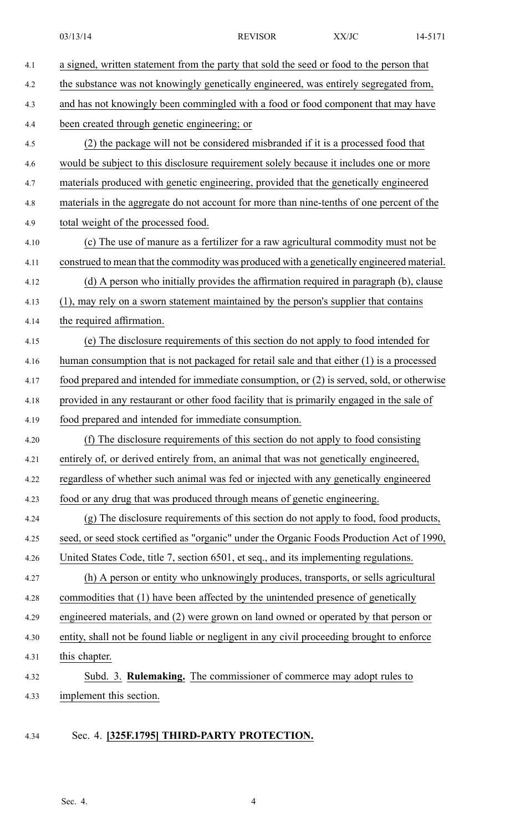| 4.1  | a signed, written statement from the party that sold the seed or food to the person that   |
|------|--------------------------------------------------------------------------------------------|
| 4.2  | the substance was not knowingly genetically engineered, was entirely segregated from,      |
| 4.3  | and has not knowingly been commingled with a food or food component that may have          |
| 4.4  | been created through genetic engineering; or                                               |
| 4.5  | (2) the package will not be considered misbranded if it is a processed food that           |
| 4.6  | would be subject to this disclosure requirement solely because it includes one or more     |
| 4.7  | materials produced with genetic engineering, provided that the genetically engineered      |
| 4.8  | materials in the aggregate do not account for more than nine-tenths of one percent of the  |
| 4.9  | total weight of the processed food.                                                        |
| 4.10 | (c) The use of manure as a fertilizer for a raw agricultural commodity must not be         |
| 4.11 | construed to mean that the commodity was produced with a genetically engineered material.  |
| 4.12 | (d) A person who initially provides the affirmation required in paragraph (b), clause      |
| 4.13 | (1), may rely on a sworn statement maintained by the person's supplier that contains       |
| 4.14 | the required affirmation.                                                                  |
| 4.15 | (e) The disclosure requirements of this section do not apply to food intended for          |
| 4.16 | human consumption that is not packaged for retail sale and that either (1) is a processed  |
| 4.17 | food prepared and intended for immediate consumption, or (2) is served, sold, or otherwise |
| 4.18 | provided in any restaurant or other food facility that is primarily engaged in the sale of |
| 4.19 | food prepared and intended for immediate consumption.                                      |
| 4.20 | (f) The disclosure requirements of this section do not apply to food consisting            |
| 4.21 | entirely of, or derived entirely from, an animal that was not genetically engineered,      |
| 4.22 | regardless of whether such animal was fed or injected with any genetically engineered      |
| 4.23 | food or any drug that was produced through means of genetic engineering.                   |
| 4.24 | (g) The disclosure requirements of this section do not apply to food, food products,       |
| 4.25 | seed, or seed stock certified as "organic" under the Organic Foods Production Act of 1990, |
| 4.26 | United States Code, title 7, section 6501, et seq., and its implementing regulations.      |
| 4.27 | (h) A person or entity who unknowingly produces, transports, or sells agricultural         |
| 4.28 | commodities that (1) have been affected by the unintended presence of genetically          |
| 4.29 | engineered materials, and (2) were grown on land owned or operated by that person or       |
| 4.30 | entity, shall not be found liable or negligent in any civil proceeding brought to enforce  |
| 4.31 | this chapter.                                                                              |
| 4.32 | Subd. 3. Rulemaking. The commissioner of commerce may adopt rules to                       |
| 4.33 | implement this section.                                                                    |
|      |                                                                                            |

## 4.34 Sec. 4. **[325F.1795] THIRD-PARTY PROTECTION.**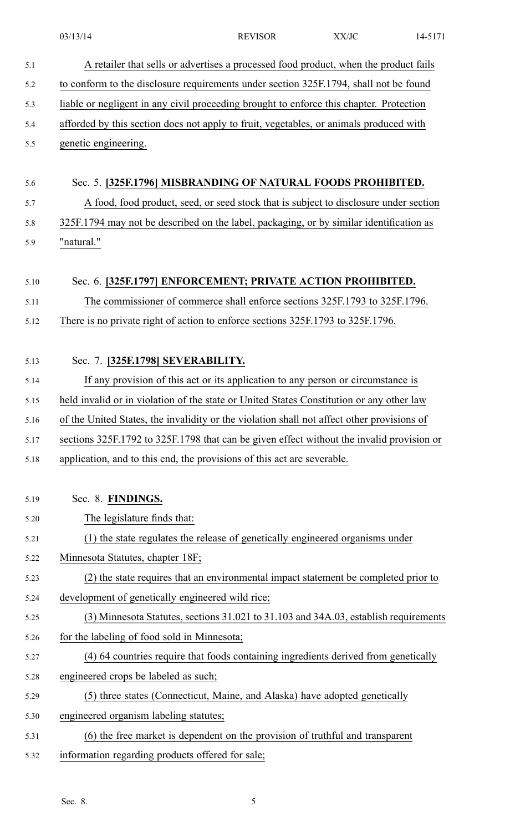03/13/14 REVISOR XX/JC 14-5171 5.1 A retailer that sells or advertises <sup>a</sup> processed food product, when the product fails 5.2 to conform to the disclosure requirements under section 325F.1794, shall not be found 5.3 liable or negligent in any civil proceeding brought to enforce this chapter. Protection 5.4 afforded by this section does not apply to fruit, vegetables, or animals produced with 5.5 genetic engineering. 5.6 Sec. 5. **[325F.1796] MISBRANDING OF NATURAL FOODS PROHIBITED.** 5.7 A food, food product, seed, or seed stock that is subject to disclosure under section 5.8 325F.1794 may not be described on the label, packaging, or by similar identification as 5.9 "natural." 5.10 Sec. 6. **[325F.1797] ENFORCEMENT; PRIVATE ACTION PROHIBITED.** 5.11 The commissioner of commerce shall enforce sections 325F.1793 to 325F.1796. 5.12 There is no private right of action to enforce sections 325F.1793 to 325F.1796. 5.13 Sec. 7. **[325F.1798] SEVERABILITY.** 5.14 If any provision of this act or its application to any person or circumstance is 5.15 held invalid or in violation of the state or United States Constitution or any other law 5.16 of the United States, the invalidity or the violation shall not affect other provisions of 5.17 sections 325F.1792 to 325F.1798 that can be given effect without the invalid provision or 5.18 application, and to this end, the provisions of this act are severable. 5.19 Sec. 8. **FINDINGS.** 5.20 The legislature finds that: 5.21 (1) the state regulates the release of genetically engineered organisms under 5.22 Minnesota Statutes, chapter 18F; 5.23 (2) the state requires that an environmental impact statement be completed prior to 5.24 development of genetically engineered wild rice; 5.25 (3) Minnesota Statutes, sections 31.021 to 31.103 and 34A.03, establish requirements 5.26 for the labeling of food sold in Minnesota; 5.27 (4) 64 countries require that foods containing ingredients derived from genetically 5.28 engineered crops be labeled as such; 5.29 (5) three states (Connecticut, Maine, and Alaska) have adopted genetically 5.30 engineered organism labeling statutes; 5.31 (6) the free market is dependent on the provision of truthful and transparent 5.32 information regarding products offered for sale;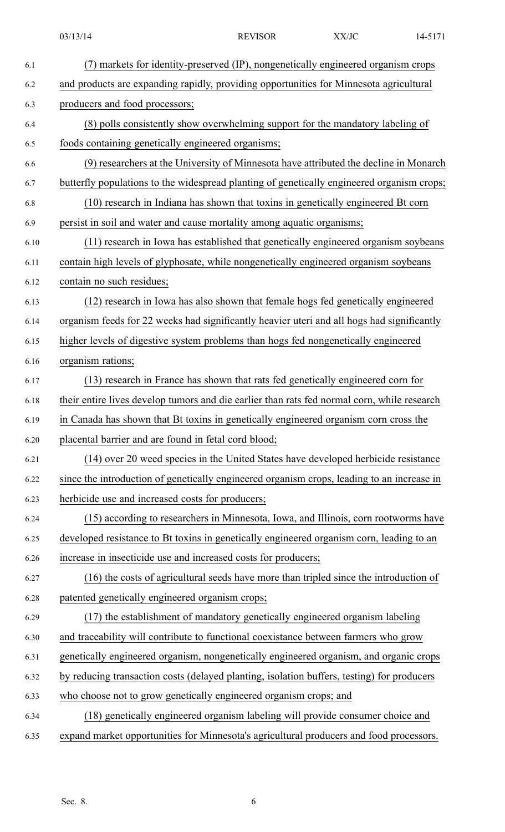| 6.1  | (7) markets for identity-preserved (IP), nongenetically engineered organism crops           |
|------|---------------------------------------------------------------------------------------------|
| 6.2  | and products are expanding rapidly, providing opportunities for Minnesota agricultural      |
| 6.3  | producers and food processors;                                                              |
| 6.4  | (8) polls consistently show overwhelming support for the mandatory labeling of              |
| 6.5  | foods containing genetically engineered organisms;                                          |
| 6.6  | (9) researchers at the University of Minnesota have attributed the decline in Monarch       |
| 6.7  | butterfly populations to the widespread planting of genetically engineered organism crops;  |
| 6.8  | (10) research in Indiana has shown that toxins in genetically engineered Bt corn            |
| 6.9  | persist in soil and water and cause mortality among aquatic organisms;                      |
| 6.10 | (11) research in Iowa has established that genetically engineered organism soybeans         |
| 6.11 | contain high levels of glyphosate, while nongenetically engineered organism soybeans        |
| 6.12 | contain no such residues;                                                                   |
| 6.13 | (12) research in Iowa has also shown that female hogs fed genetically engineered            |
| 6.14 | organism feeds for 22 weeks had significantly heavier uteri and all hogs had significantly  |
| 6.15 | higher levels of digestive system problems than hogs fed nongenetically engineered          |
| 6.16 | organism rations;                                                                           |
| 6.17 | (13) research in France has shown that rats fed genetically engineered corn for             |
| 6.18 | their entire lives develop tumors and die earlier than rats fed normal corn, while research |
| 6.19 | in Canada has shown that Bt toxins in genetically engineered organism corn cross the        |
| 6.20 | placental barrier and are found in fetal cord blood;                                        |
| 6.21 | (14) over 20 weed species in the United States have developed herbicide resistance          |
| 6.22 | since the introduction of genetically engineered organism crops, leading to an increase in  |
| 6.23 | herbicide use and increased costs for producers;                                            |
| 6.24 | (15) according to researchers in Minnesota, Iowa, and Illinois, corn rootworms have         |
| 6.25 | developed resistance to Bt toxins in genetically engineered organism corn, leading to an    |
| 6.26 | increase in insecticide use and increased costs for producers;                              |
| 6.27 | (16) the costs of agricultural seeds have more than tripled since the introduction of       |
| 6.28 | patented genetically engineered organism crops;                                             |
| 6.29 | (17) the establishment of mandatory genetically engineered organism labeling                |
| 6.30 | and traceability will contribute to functional coexistance between farmers who grow         |
| 6.31 | genetically engineered organism, nongenetically engineered organism, and organic crops      |
| 6.32 | by reducing transaction costs (delayed planting, isolation buffers, testing) for producers  |
| 6.33 | who choose not to grow genetically engineered organism crops; and                           |
| 6.34 | (18) genetically engineered organism labeling will provide consumer choice and              |
| 6.35 | expand market opportunities for Minnesota's agricultural producers and food processors.     |